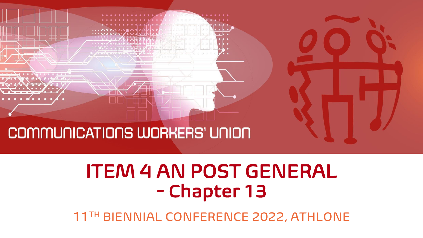

### COMMUNICATIONS WORKERS' UNION

# ITEM 4 AN POST GENERAL - Chapter 13

11TH BIENNIAL CONFERENCE 2022, ATHLONE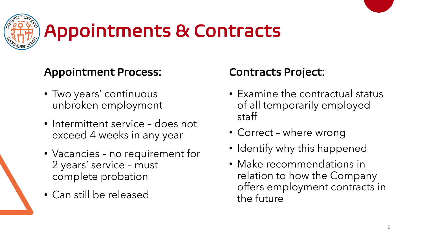

# Appointments & Contracts

### Appointment Process:

- Two years' continuous unbroken employment
- Intermittent service does not exceed 4 weeks in any year
- Vacancies no requirement for 2 years' service – must complete probation
- Can still be released

### Contracts Project:

- Examine the contractual status of all temporarily employed staff
- Correct where wrong
- Identify why this happened
- Make recommendations in relation to how the Company offers employment contracts in the future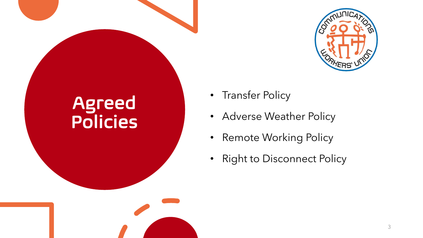

## Agreed Policies

- Transfer Policy
- Adverse Weather Policy
- Remote Working Policy
- Right to Disconnect Policy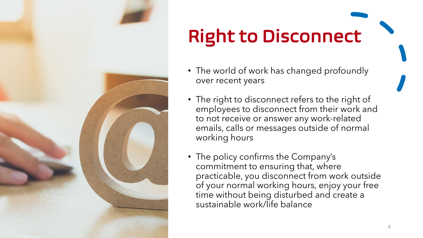

# Right to Disconnect

- The world of work has changed profoundly over recent years
- The right to disconnect refers to the right of employees to disconnect from their work and to not receive or answer any work-related emails, calls or messages outside of normal working hours
- The policy confirms the Company's commitment to ensuring that, where practicable, you disconnect from work outside of your normal working hours, enjoy your free time without being disturbed and create a sustainable work/life balance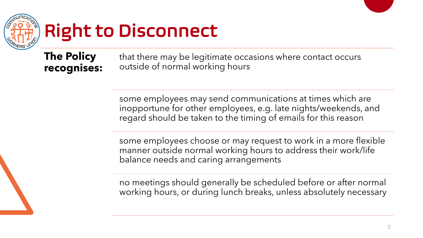

# Right to Disconnect

### **The Policy recognises:**

that there may be legitimate occasions where contact occurs outside of normal working hours

some employees may send communications at times which are inopportune for other employees, e.g. late nights/weekends, and regard should be taken to the timing of emails for this reason

some employees choose or may request to work in a more flexible manner outside normal working hours to address their work/life balance needs and caring arrangements

no meetings should generally be scheduled before or after normal working hours, or during lunch breaks, unless absolutely necessary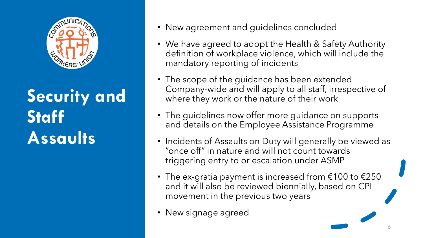

# **Security and Staff Assaults**

- New agreement and guidelines concluded
- We have agreed to adopt the Health & Safety Authority definition of workplace violence, which will include the mandatory reporting of incidents
- The scope of the guidance has been extended Company-wide and will apply to all staff, irrespective of where they work or the nature of their work
- The guidelines now offer more guidance on supports and details on the Employee Assistance Programme
- Incidents of Assaults on Duty will generally be viewed as "once off" in nature and will not count towards triggering entry to or escalation under ASMP
- The ex-gratia payment is increased from  $\epsilon$ 100 to  $\epsilon$ 250 and it will also be reviewed biennially, based on CPI movement in the previous two years
- New signage agreed

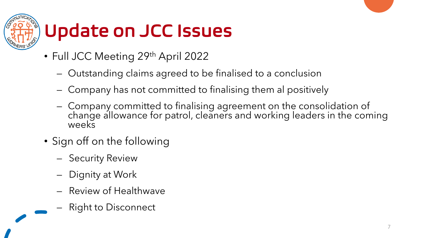

# Update on JCC Issues

- Full JCC Meeting 29th April 2022
	- Outstanding claims agreed to be finalised to a conclusion
	- Company has not committed to finalising them al positively
	- Company committed to finalising agreement on the consolidation of change allowance for patrol, cleaners and working leaders in the coming weeks
- Sign off on the following
	- Security Review
	- Dignity at Work
	- Review of Healthwave
	- Right to Disconnect